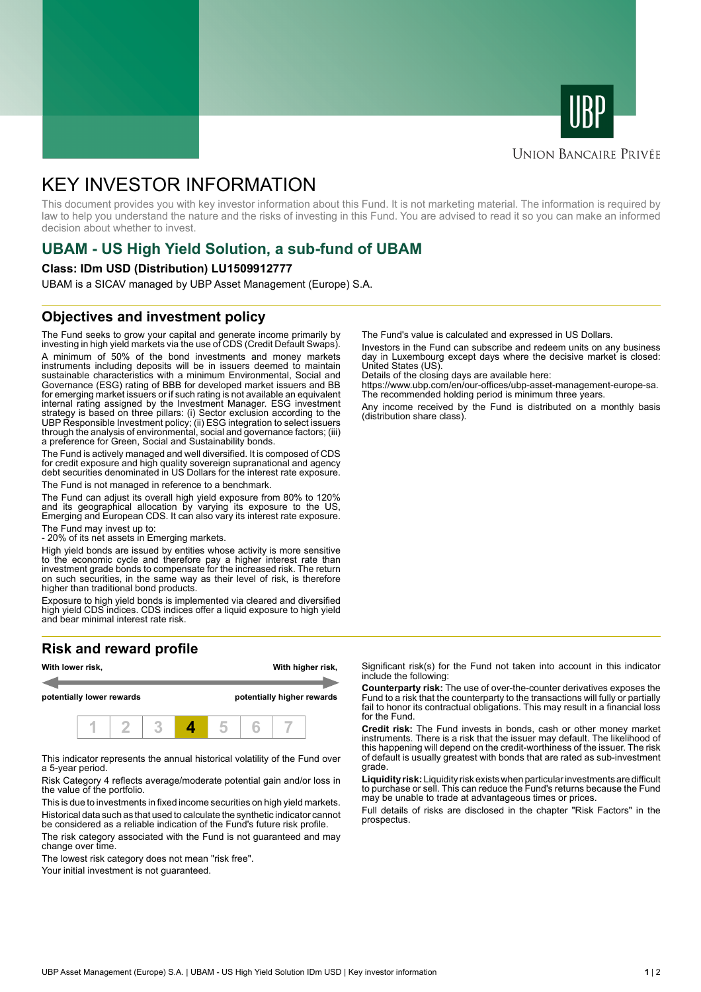



### **UNION BANCAIRE PRIVÉE**

# KEY INVESTOR INFORMATION

This document provides you with key investor information about this Fund. It is not marketing material. The information is required by law to help you understand the nature and the risks of investing in this Fund. You are advised to read it so you can make an informed decision about whether to invest.

# **UBAM - US High Yield Solution, a sub-fund of UBAM**

#### **Class: IDm USD (Distribution) LU1509912777**

UBAM is a SICAV managed by UBP Asset Management (Europe) S.A.

### **Objectives and investment policy**

The Fund seeks to grow your capital and generate income primarily by investing in high yield markets via the use of CDS (Credit Default Swaps). A minimum of 50% of the bond investments and money markets instruments including deposits will be in issuers deemed to maintain sustainable characteristics with a minimum Environmental, Social and Governance (ESG) rating of BBB for developed market issuers and BB for emerging market issuers or if such rating is not available an equivalent internal rating assigned by the Investment Manager. ESG investment strategy is based on three pillars: (i) Sector exclusion according to the UBP Responsible Investment policy; (ii) ESG integration to select issuers through the analysis of environmental, social and governance factors; (iii) a preference for Green, Social and Sustainability bonds.

The Fund is actively managed and well diversified. It is composed of CDS for credit exposure and high quality sovereign supranational and agency debt securities denominated in US Dollars for the interest rate exposure. The Fund is not managed in reference to a benchmark.

The Fund can adjust its overall high yield exposure from 80% to 120% and its geographical allocation by varying its exposure to the US, Emerging and European CDS. It can also vary its interest rate exposure.

The Fund may invest up to:

- 20% of its net assets in Emerging markets.

High yield bonds are issued by entities whose activity is more sensitive to the economic cycle and therefore pay a higher interest rate than investment grade bonds to compensate for the increased risk. The return on such securities, in the same way as their level of risk, is therefore higher than traditional bond products.

Exposure to high yield bonds is implemented via cleared and diversified high yield CDS indices. CDS indices offer a liquid exposure to high yield and bear minimal interest rate risk.

## **Risk and reward profile**



This indicator represents the annual historical volatility of the Fund over a 5-year period.

Risk Category 4 reflects average/moderate potential gain and/or loss in the value of the portfolio.

This is due to investments in fixed income securities on high yield markets. Historical data such as that used to calculate the synthetic indicator cannot be considered as a reliable indication of the Fund's future risk profile. The risk category associated with the Fund is not guaranteed and may

change over time.

The lowest risk category does not mean "risk free".

Your initial investment is not guaranteed.

The Fund's value is calculated and expressed in US Dollars.

Investors in the Fund can subscribe and redeem units on any business day in Luxembourg except days where the decisive market is closed: United States (US).

Details of the closing days are available here:

https://www.ubp.com/en/our-offices/ubp-asset-management-europe-sa. The recommended holding period is minimum three years.

Any income received by the Fund is distributed on a monthly basis (distribution share class).

Significant risk(s) for the Fund not taken into account in this indicator include the following:

**Counterparty risk:** The use of over-the-counter derivatives exposes the Fund to a risk that the counterparty to the transactions will fully or partially fail to honor its contractual obligations. This may result in a financial loss for the Fund.

**Credit risk:** The Fund invests in bonds, cash or other money market instruments. There is a risk that the issuer may default. The likelihood of this happening will depend on the credit-worthiness of the issuer. The risk of default is usually greatest with bonds that are rated as sub-investment grade.

**Liquidity risk:** Liquidity risk exists when particular investments are difficult to purchase or sell. This can reduce the Fund's returns because the Fund may be unable to trade at advantageous times or prices.

Full details of risks are disclosed in the chapter "Risk Factors" in the prospectus.